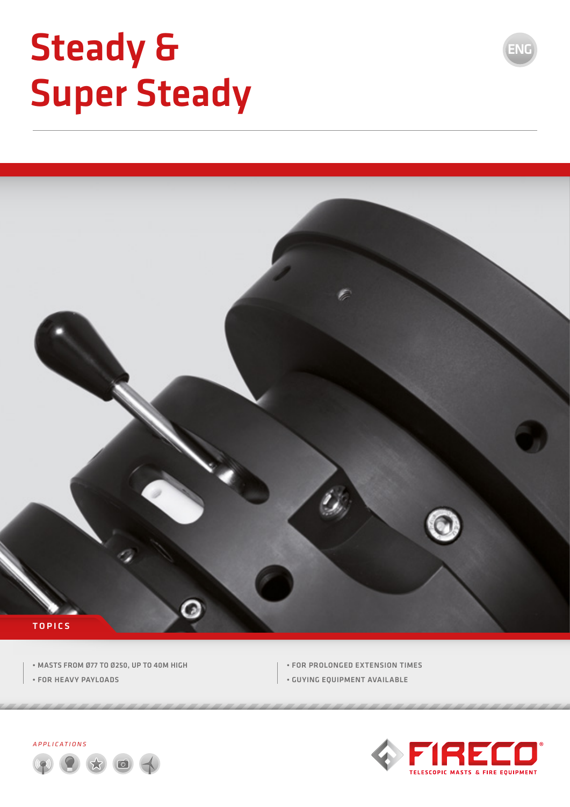# Steady & Super Steady



- MASTS FROM Ø77 TO Ø250, UP TO 40M HIGH
- FOR HEAVY PAYLOADS
- FOR PROLONGED EXTENSION TIMES
- GUYING EQUIPMENT AVAILABLE





ENG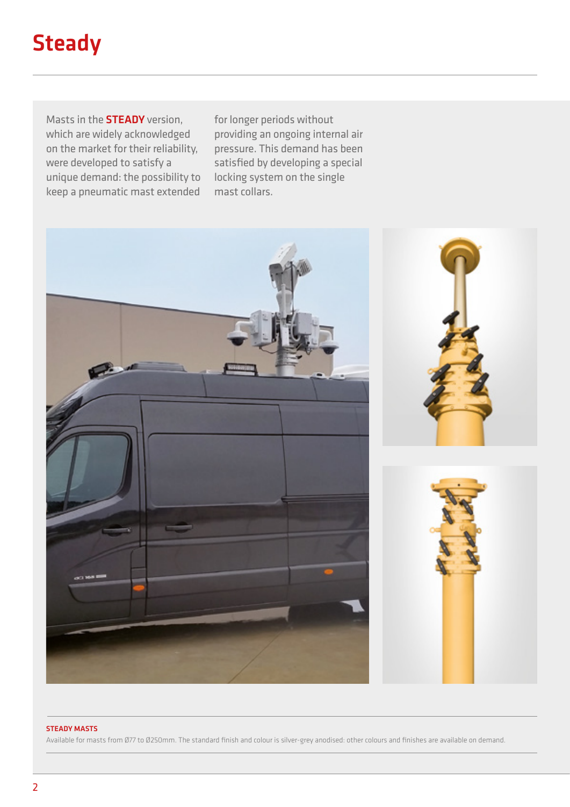# **Steady**

Masts in the STEADY version, which are widely acknowledged on the market for their reliability, were developed to satisfy a unique demand: the possibility to keep a pneumatic mast extended

for longer periods without providing an ongoing internal air pressure. This demand has been satisfied by developing a special locking system on the single mast collars.



#### STEADY MASTS

Available for masts from Ø77 to Ø250mm. The standard finish and colour is silver-grey anodised: other colours and finishes are available on demand.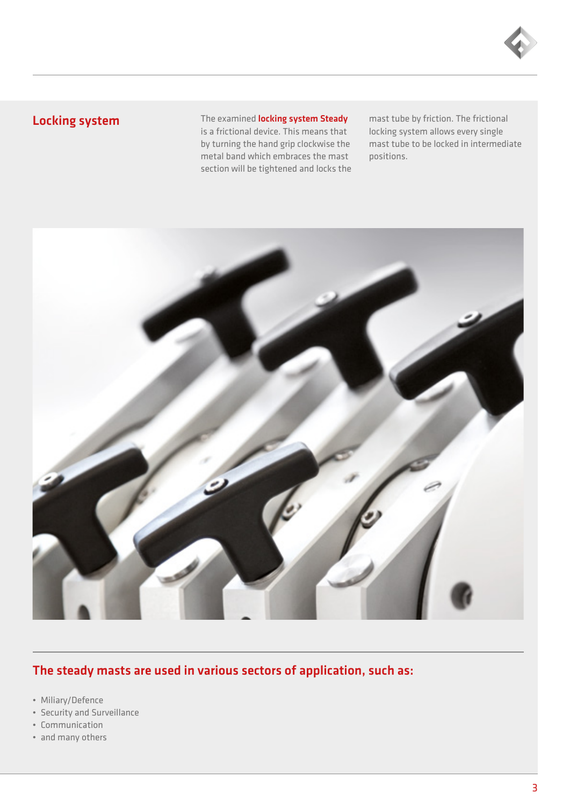

### Locking system

The examined **locking system Steady** is a frictional device. This means that by turning the hand grip clockwise the metal band which embraces the mast section will be tightened and locks the mast tube by friction. The frictional locking system allows every single mast tube to be locked in intermediate positions.



### The steady masts are used in various sectors of application, such as:

- Miliary/Defence
- Security and Surveillance
- Communication
- and many others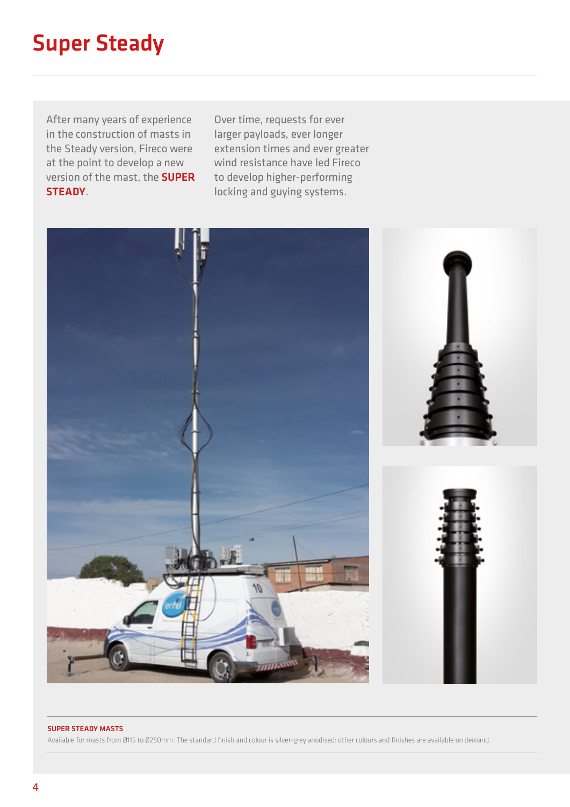### Super Steady

After many years of experience in the construction of masts in the Steady version, Fireco were at the point to develop a new version of the mast, the SUPER STEADY.

Over time, requests for ever larger payloads, ever longer extension times and ever greater wind resistance have led Fireco to develop higher-performing locking and guying systems.



#### SUPER STEADY MASTS

Available for masts from Ø115 to Ø250mm. The standard finish and colour is silver-grey anodised: other colours and finishes are available on demand.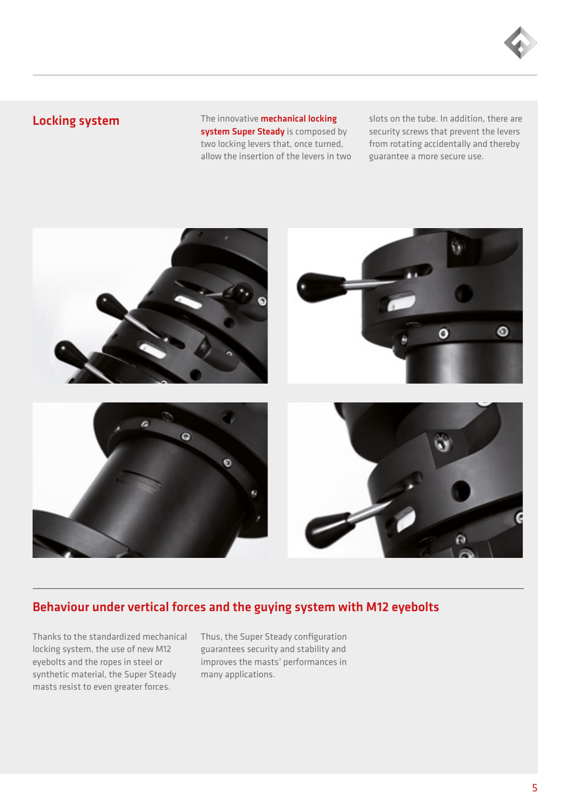

#### Locking system

The innovative **mechanical locking** system Super Steady is composed by two locking levers that, once turned, allow the insertion of the levers in two slots on the tube. In addition, there are security screws that prevent the levers from rotating accidentally and thereby guarantee a more secure use.



#### Behaviour under vertical forces and the guying system with M12 eyebolts

Thanks to the standardized mechanical locking system, the use of new M12 eyebolts and the ropes in steel or synthetic material, the Super Steady masts resist to even greater forces.

Thus, the Super Steady configuration guarantees security and stability and improves the masts' performances in many applications.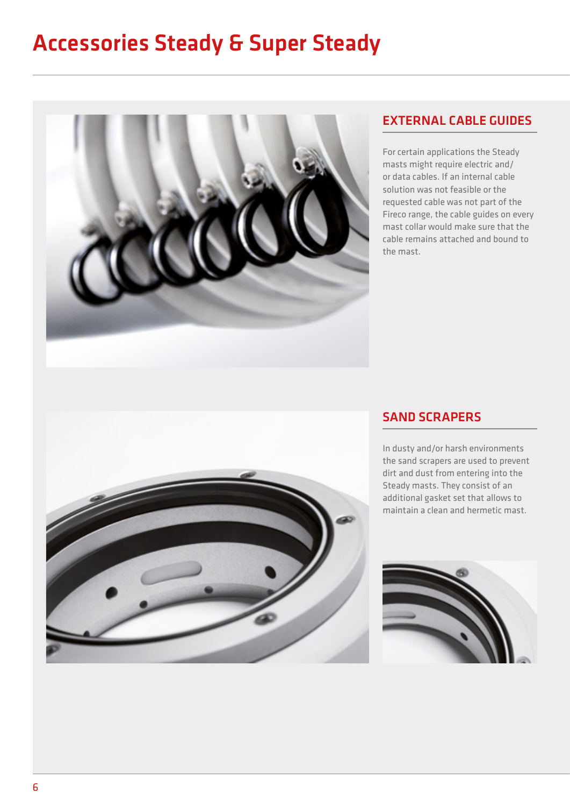## Accessories Steady & Super Steady



#### EXTERNAL CABLE GUIDES

For certain applications the Steady masts might require electric and/ or data cables. If an internal cable solution was not feasible or the requested cable was not part of the Fireco range, the cable guides on every mast collar would make sure that the cable remains attached and bound to the mast.



#### SAND SCRAPERS

In dusty and/or harsh environments the sand scrapers are used to prevent dirt and dust from entering into the Steady masts. They consist of an additional gasket set that allows to maintain a clean and hermetic mast.